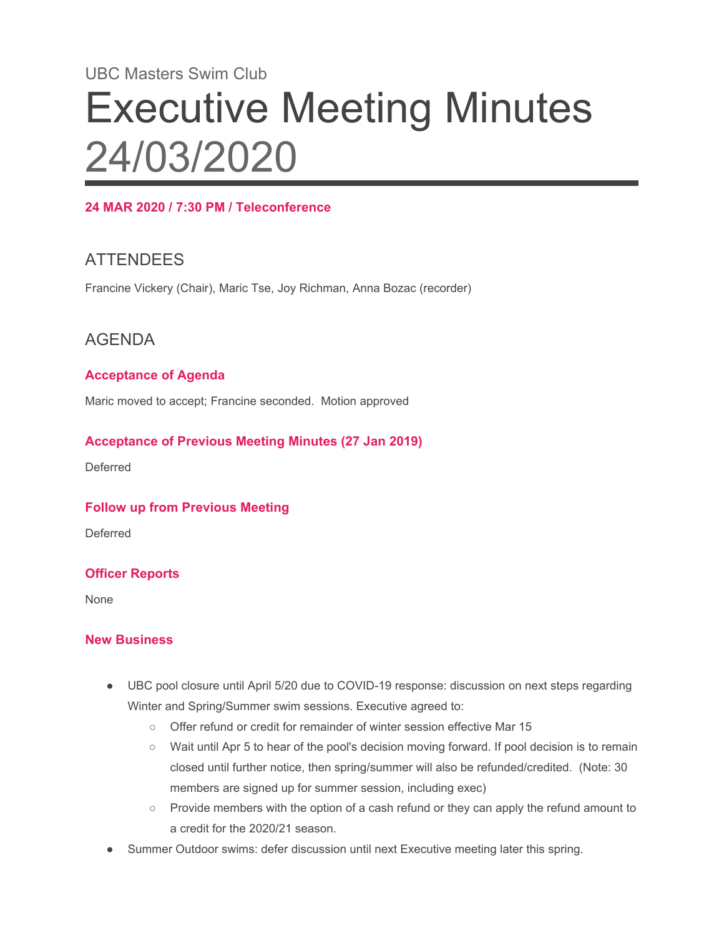# UBC Masters Swim Club Executive Meeting Minutes 24/03/2020

#### **24 MAR 2020 / 7:30 PM / Teleconference**

## ATTENDEES

Francine Vickery (Chair), Maric Tse, Joy Richman, Anna Bozac (recorder)

### AGENDA

#### **Acceptance of Agenda**

Maric moved to accept; Francine seconded. Motion approved

#### **Acceptance of Previous Meeting Minutes (27 Jan 2019)**

Deferred

#### **Follow up from Previous Meeting**

Deferred

#### **Officer Reports**

None

#### **New Business**

- UBC pool closure until April 5/20 due to COVID-19 response: discussion on next steps regarding Winter and Spring/Summer swim sessions. Executive agreed to:
	- Offer refund or credit for remainder of winter session effective Mar 15
	- Wait until Apr 5 to hear of the pool's decision moving forward. If pool decision is to remain closed until further notice, then spring/summer will also be refunded/credited. (Note: 30 members are signed up for summer session, including exec)
	- Provide members with the option of a cash refund or they can apply the refund amount to a credit for the 2020/21 season.
- Summer Outdoor swims: defer discussion until next Executive meeting later this spring.